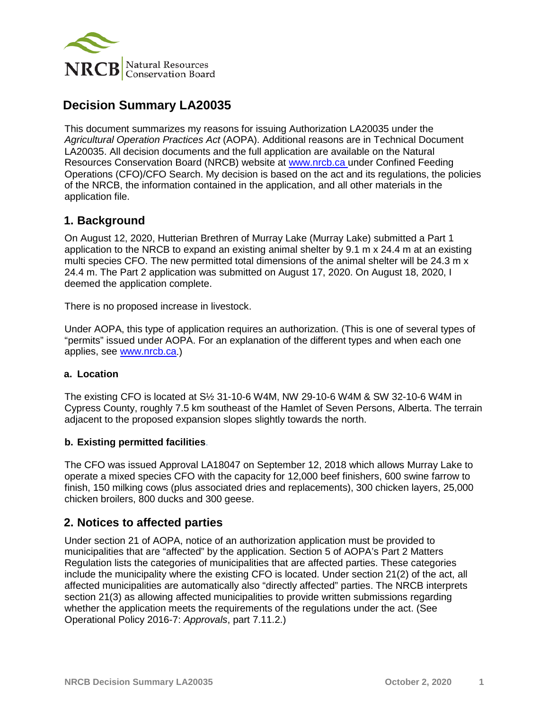

# **Decision Summary LA20035**

This document summarizes my reasons for issuing Authorization LA20035 under the *Agricultural Operation Practices Act* (AOPA). Additional reasons are in Technical Document LA20035. All decision documents and the full application are available on the Natural Resources Conservation Board (NRCB) website at [www.nrcb.ca](http://www.nrcb.ca/) under Confined Feeding Operations (CFO)/CFO Search. My decision is based on the act and its regulations, the policies of the NRCB, the information contained in the application, and all other materials in the application file.

### **1. Background**

On August 12, 2020, Hutterian Brethren of Murray Lake (Murray Lake) submitted a Part 1 application to the NRCB to expand an existing animal shelter by 9.1 m x 24.4 m at an existing multi species CFO. The new permitted total dimensions of the animal shelter will be 24.3 m x 24.4 m. The Part 2 application was submitted on August 17, 2020. On August 18, 2020, I deemed the application complete.

There is no proposed increase in livestock.

Under AOPA, this type of application requires an authorization. (This is one of several types of "permits" issued under AOPA. For an explanation of the different types and when each one applies, see [www.nrcb.ca.](http://www.nrcb.ca/))

#### **a. Location**

The existing CFO is located at S½ 31-10-6 W4M, NW 29-10-6 W4M & SW 32-10-6 W4M in Cypress County, roughly 7.5 km southeast of the Hamlet of Seven Persons, Alberta. The terrain adjacent to the proposed expansion slopes slightly towards the north.

#### **b. Existing permitted facilities**.

The CFO was issued Approval LA18047 on September 12, 2018 which allows Murray Lake to operate a mixed species CFO with the capacity for 12,000 beef finishers, 600 swine farrow to finish, 150 milking cows (plus associated dries and replacements), 300 chicken layers, 25,000 chicken broilers, 800 ducks and 300 geese.

### **2. Notices to affected parties**

Under section 21 of AOPA, notice of an authorization application must be provided to municipalities that are "affected" by the application. Section 5 of AOPA's Part 2 Matters Regulation lists the categories of municipalities that are affected parties. These categories include the municipality where the existing CFO is located. Under section 21(2) of the act, all affected municipalities are automatically also "directly affected" parties. The NRCB interprets section 21(3) as allowing affected municipalities to provide written submissions regarding whether the application meets the requirements of the regulations under the act. (See Operational Policy 2016-7: *Approvals*, part 7.11.2.)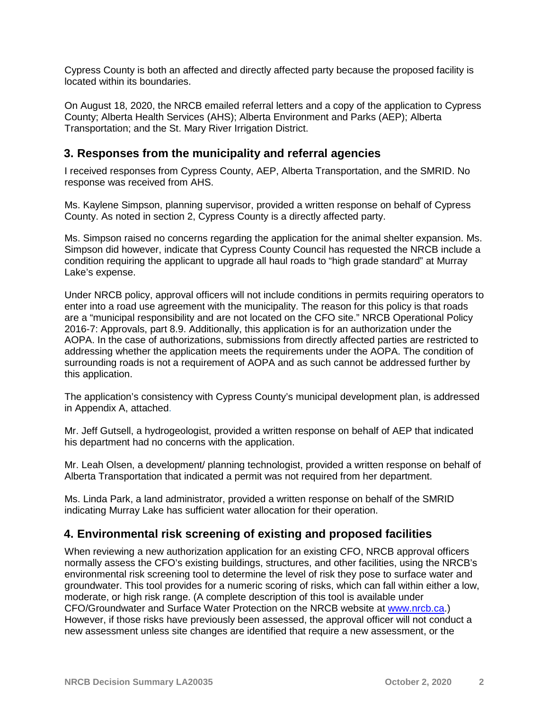Cypress County is both an affected and directly affected party because the proposed facility is located within its boundaries.

On August 18, 2020, the NRCB emailed referral letters and a copy of the application to Cypress County; Alberta Health Services (AHS); Alberta Environment and Parks (AEP); Alberta Transportation; and the St. Mary River Irrigation District.

### **3. Responses from the municipality and referral agencies**

I received responses from Cypress County, AEP, Alberta Transportation, and the SMRID. No response was received from AHS.

Ms. Kaylene Simpson, planning supervisor, provided a written response on behalf of Cypress County. As noted in section 2, Cypress County is a directly affected party.

Ms. Simpson raised no concerns regarding the application for the animal shelter expansion. Ms. Simpson did however, indicate that Cypress County Council has requested the NRCB include a condition requiring the applicant to upgrade all haul roads to "high grade standard" at Murray Lake's expense.

Under NRCB policy, approval officers will not include conditions in permits requiring operators to enter into a road use agreement with the municipality. The reason for this policy is that roads are a "municipal responsibility and are not located on the CFO site." NRCB Operational Policy 2016-7: Approvals, part 8.9. Additionally, this application is for an authorization under the AOPA. In the case of authorizations, submissions from directly affected parties are restricted to addressing whether the application meets the requirements under the AOPA. The condition of surrounding roads is not a requirement of AOPA and as such cannot be addressed further by this application.

The application's consistency with Cypress County's municipal development plan, is addressed in Appendix A, attached.

Mr. Jeff Gutsell, a hydrogeologist, provided a written response on behalf of AEP that indicated his department had no concerns with the application.

Mr. Leah Olsen, a development/ planning technologist, provided a written response on behalf of Alberta Transportation that indicated a permit was not required from her department.

Ms. Linda Park, a land administrator, provided a written response on behalf of the SMRID indicating Murray Lake has sufficient water allocation for their operation.

### **4. Environmental risk screening of existing and proposed facilities**

When reviewing a new authorization application for an existing CFO, NRCB approval officers normally assess the CFO's existing buildings, structures, and other facilities, using the NRCB's environmental risk screening tool to determine the level of risk they pose to surface water and groundwater. This tool provides for a numeric scoring of risks, which can fall within either a low, moderate, or high risk range. (A complete description of this tool is available under CFO/Groundwater and Surface Water Protection on the NRCB website at [www.nrcb.ca.](http://www.nrcb.ca/)) However, if those risks have previously been assessed, the approval officer will not conduct a new assessment unless site changes are identified that require a new assessment, or the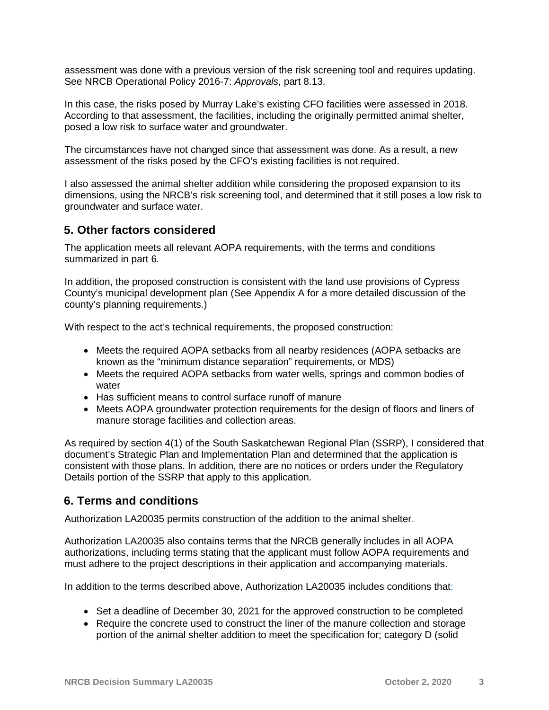assessment was done with a previous version of the risk screening tool and requires updating. See NRCB Operational Policy 2016-7: *Approvals*, part 8.13.

In this case, the risks posed by Murray Lake's existing CFO facilities were assessed in 2018. According to that assessment, the facilities, including the originally permitted animal shelter, posed a low risk to surface water and groundwater.

The circumstances have not changed since that assessment was done. As a result, a new assessment of the risks posed by the CFO's existing facilities is not required.

I also assessed the animal shelter addition while considering the proposed expansion to its dimensions, using the NRCB's risk screening tool, and determined that it still poses a low risk to groundwater and surface water.

### **5. Other factors considered**

The application meets all relevant AOPA requirements, with the terms and conditions summarized in part 6.

In addition, the proposed construction is consistent with the land use provisions of Cypress County's municipal development plan (See Appendix A for a more detailed discussion of the county's planning requirements.)

With respect to the act's technical requirements, the proposed construction:

- Meets the required AOPA setbacks from all nearby residences (AOPA setbacks are known as the "minimum distance separation" requirements, or MDS)
- Meets the required AOPA setbacks from water wells, springs and common bodies of water
- Has sufficient means to control surface runoff of manure
- Meets AOPA groundwater protection requirements for the design of floors and liners of manure storage facilities and collection areas.

As required by section 4(1) of the South Saskatchewan Regional Plan (SSRP), I considered that document's Strategic Plan and Implementation Plan and determined that the application is consistent with those plans. In addition, there are no notices or orders under the Regulatory Details portion of the SSRP that apply to this application.

### **6. Terms and conditions**

Authorization LA20035 permits construction of the addition to the animal shelter.

Authorization LA20035 also contains terms that the NRCB generally includes in all AOPA authorizations, including terms stating that the applicant must follow AOPA requirements and must adhere to the project descriptions in their application and accompanying materials.

In addition to the terms described above, Authorization LA20035 includes conditions that:

- Set a deadline of December 30, 2021 for the approved construction to be completed
- Require the concrete used to construct the liner of the manure collection and storage portion of the animal shelter addition to meet the specification for; category D (solid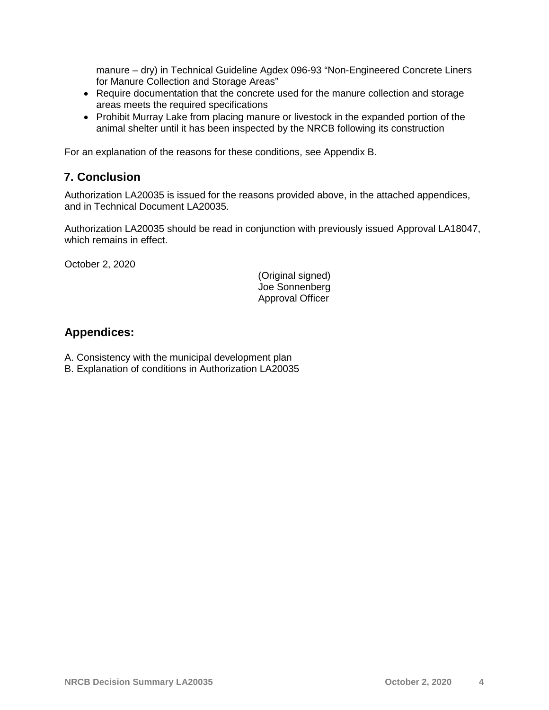manure – dry) in Technical Guideline Agdex 096-93 "Non-Engineered Concrete Liners for Manure Collection and Storage Areas"

- Require documentation that the concrete used for the manure collection and storage areas meets the required specifications
- Prohibit Murray Lake from placing manure or livestock in the expanded portion of the animal shelter until it has been inspected by the NRCB following its construction

For an explanation of the reasons for these conditions, see Appendix B.

# **7. Conclusion**

Authorization LA20035 is issued for the reasons provided above, in the attached appendices, and in Technical Document LA20035.

Authorization LA20035 should be read in conjunction with previously issued Approval LA18047, which remains in effect.

October 2, 2020

(Original signed) Joe Sonnenberg Approval Officer

# **Appendices:**

- A. Consistency with the municipal development plan
- B. Explanation of conditions in Authorization LA20035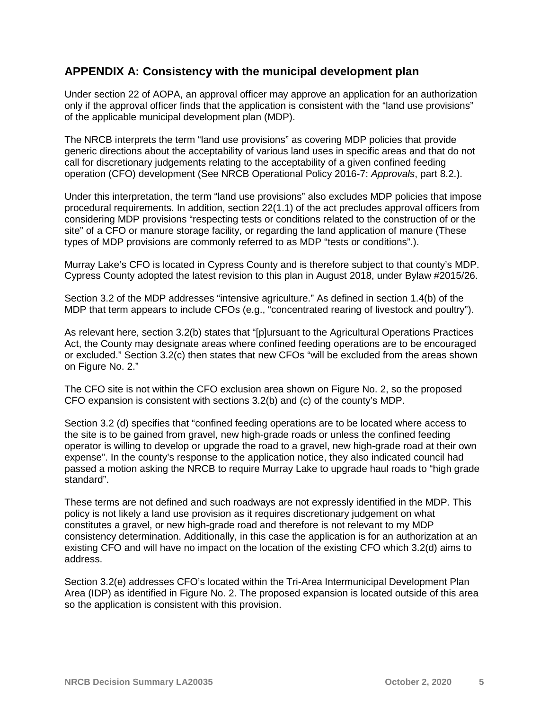### **APPENDIX A: Consistency with the municipal development plan**

Under section 22 of AOPA, an approval officer may approve an application for an authorization only if the approval officer finds that the application is consistent with the "land use provisions" of the applicable municipal development plan (MDP).

The NRCB interprets the term "land use provisions" as covering MDP policies that provide generic directions about the acceptability of various land uses in specific areas and that do not call for discretionary judgements relating to the acceptability of a given confined feeding operation (CFO) development (See NRCB Operational Policy 2016-7: *Approvals*, part 8.2.).

Under this interpretation, the term "land use provisions" also excludes MDP policies that impose procedural requirements. In addition, section 22(1.1) of the act precludes approval officers from considering MDP provisions "respecting tests or conditions related to the construction of or the site" of a CFO or manure storage facility, or regarding the land application of manure (These types of MDP provisions are commonly referred to as MDP "tests or conditions".).

Murray Lake's CFO is located in Cypress County and is therefore subject to that county's MDP. Cypress County adopted the latest revision to this plan in August 2018, under Bylaw #2015/26.

Section 3.2 of the MDP addresses "intensive agriculture." As defined in section 1.4(b) of the MDP that term appears to include CFOs (e.g., "concentrated rearing of livestock and poultry").

As relevant here, section 3.2(b) states that "[p]ursuant to the Agricultural Operations Practices Act, the County may designate areas where confined feeding operations are to be encouraged or excluded." Section 3.2(c) then states that new CFOs "will be excluded from the areas shown on Figure No. 2."

The CFO site is not within the CFO exclusion area shown on Figure No. 2, so the proposed CFO expansion is consistent with sections 3.2(b) and (c) of the county's MDP.

Section 3.2 (d) specifies that "confined feeding operations are to be located where access to the site is to be gained from gravel, new high-grade roads or unless the confined feeding operator is willing to develop or upgrade the road to a gravel, new high-grade road at their own expense". In the county's response to the application notice, they also indicated council had passed a motion asking the NRCB to require Murray Lake to upgrade haul roads to "high grade standard".

These terms are not defined and such roadways are not expressly identified in the MDP. This policy is not likely a land use provision as it requires discretionary judgement on what constitutes a gravel, or new high-grade road and therefore is not relevant to my MDP consistency determination. Additionally, in this case the application is for an authorization at an existing CFO and will have no impact on the location of the existing CFO which 3.2(d) aims to address.

Section 3.2(e) addresses CFO's located within the Tri-Area Intermunicipal Development Plan Area (IDP) as identified in Figure No. 2. The proposed expansion is located outside of this area so the application is consistent with this provision.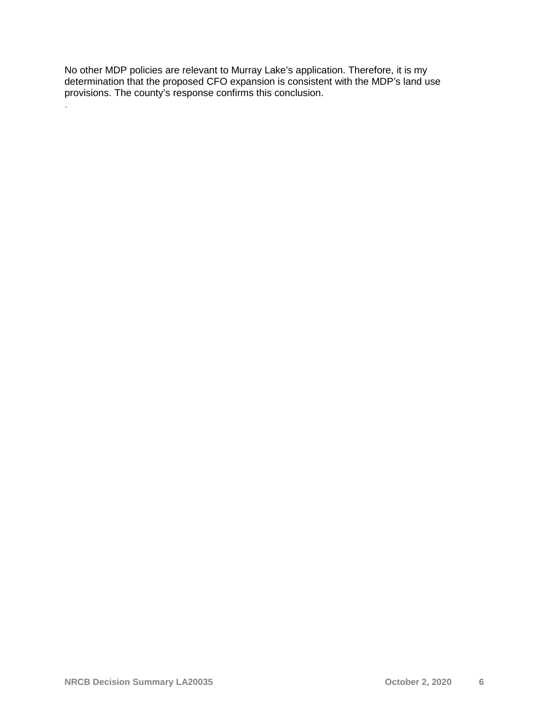No other MDP policies are relevant to Murray Lake's application. Therefore, it is my determination that the proposed CFO expansion is consistent with the MDP's land use provisions. The county's response confirms this conclusion.

.